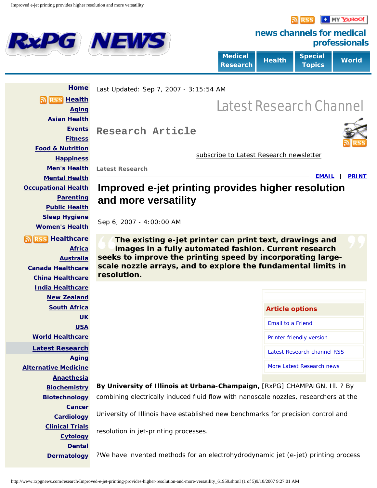<span id="page-0-0"></span>**RXPG NEWS** 

**D** MY YAHOO!



**news channels for medical professionals**

| <b>Medical</b><br><b>Research</b> | Health <sup>'</sup> | <b>Special</b><br><b>Topics</b> | World |
|-----------------------------------|---------------------|---------------------------------|-------|
|-----------------------------------|---------------------|---------------------------------|-------|

 **[Home](http://www.rxpgnews.com/) [Health](http://www.rxpgnews.com/health/index.shtml) [Aging](http://www.rxpgnews.com/ageing-health/index.shtml) [Asian Health](http://www.rxpgnews.com/asian-health/index.shtml) [Events](http://www.rxpgnews.com/health-events/index.shtml) [Fitness](http://www.rxpgnews.com/fitness/index.shtml) [Food & Nutrition](http://www.rxpgnews.com/foodandnutrition/index.shtml) [Happiness](http://www.rxpgnews.com/happiness/index.shtml) [Men's Health](http://www.rxpgnews.com/mens-health/index.shtml) [Mental Health](http://www.rxpgnews.com/mental-health/index.shtml) [Occupational Health](http://www.rxpgnews.com/occupationalhealth/index.shtml) [Parenting](http://www.rxpgnews.com/parenting/index.shtml) [Public Health](http://www.rxpgnews.com/publichealth/index.shtml) [Sleep Hygiene](http://www.rxpgnews.com/sleephygiene/index.shtml) [Women's Health](http://www.rxpgnews.com/womenshealth/index.shtml) [Healthcare](http://www.rxpgnews.com/healthcare/index.shtml) [Africa](http://www.rxpgnews.com/africa/index.shtml) [Australia](http://www.rxpgnews.com/australia/index.shtml) [Canada Healthcare](http://www.rxpgnews.com/canada/index.shtml) [China Healthcare](http://www.rxpgnews.com/china/index.shtml) [India Healthcare](http://www.rxpgnews.com/indianhealthcare/index.shtml) [New Zealand](http://www.rxpgnews.com/newzealand/index.shtml) [South Africa](http://www.rxpgnews.com/southafrica/index.shtml) [UK](http://www.rxpgnews.com/nhsnews/index.shtml) [USA](http://www.rxpgnews.com/usahealthcare/index.shtml) [World Healthcare](http://www.rxpgnews.com/worldhealthcare/index.shtml) [Latest Research](http://www.rxpgnews.com/research/index.shtml) [Aging](http://www.rxpgnews.com/aging-research/index.shtml) [Alternative Medicine](http://www.rxpgnews.com/alternativemedicine/index.shtml) [Anaethesia](http://www.rxpgnews.com/anesthesia-research/index.shtml) [Biochemistry](http://www.rxpgnews.com/biochemistry/index.shtml) [Biotechnology](http://www.rxpgnews.com/biotechnology/index.shtml) [Cancer](http://www.rxpgnews.com/cancer-research/index.shtml) [Cardiology](http://www.rxpgnews.com/cardiology/index.shtml) [Clinical Trials](http://www.rxpgnews.com/latestclinicaltrials/index.shtml) [Cytology](http://www.rxpgnews.com/cytology/index.shtml) [Dental](http://www.rxpgnews.com/dental/index.shtml) [Dermatology](http://www.rxpgnews.com/dermatology/index.shtml)** Last Updated: Sep 7, 2007 - 3:15:54 AM **Research Article** Latest Research Channel [subscribe to Latest Research newsletter](#page-3-0) **Latest Research [EMAIL](http://www.rxpgnews.com/email/index.php) | [PRINT](http://www.rxpgnews.com/research/Improved-e-jet-printing-provides-higher-resolution-and-more-versatility_printer.shtml) Improved e-jet printing provides higher resolution and more versatility** Sep 6, 2007 - 4:00:00 AM **The existing e-jet printer can print text, drawings and images in a fully automated fashion. Current research seeks to improve the printing speed by incorporating largescale nozzle arrays, and to explore the fundamental limits in resolution. Article options** [Email to a Friend](http://www.rxpgnews.com/email/index.php) [Printer friendly version](http://www.rxpgnews.com/research/Improved-e-jet-printing-provides-higher-resolution-and-more-versatility_printer.shtml) [Latest Research channel RSS](http://www.rxpgnews.com/rss/research.xml) [More Latest Research news](#page-3-1) **By University of Illinois at Urbana-Champaign,** [RxPG] CHAMPAIGN, Ill. ? By combining electrically induced fluid flow with nanoscale nozzles, researchers at the University of Illinois have established new benchmarks for precision control and resolution in jet-printing processes. ?We have invented methods for an electrohydrodynamic jet (e-jet) printing process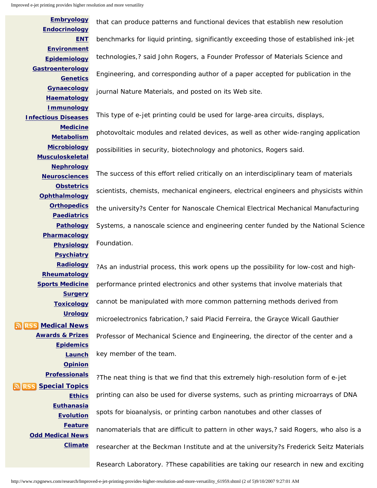```
Improved e-jet printing provides higher resolution and more versatility
```
**[Embryology](http://www.rxpgnews.com/embryology/index.shtml) [Endocrinology](http://www.rxpgnews.com/endocrinology/index.shtml) [ENT](http://www.rxpgnews.com/ent/index.shtml) [Environment](http://www.rxpgnews.com/enviornmental-medicine/index.shtml) [Epidemiology](http://www.rxpgnews.com/epidemiology/index.shtml) [Gastroenterology](http://www.rxpgnews.com/gastroenterology/index.shtml) [Genetics](http://www.rxpgnews.com/genetics/index.shtml) [Gynaecology](http://www.rxpgnews.com/gynecology/index.shtml) [Haematology](http://www.rxpgnews.com/hematology/index.shtml) [Immunology](http://www.rxpgnews.com/immunology/index.shtml) [Infectious Diseases](http://www.rxpgnews.com/infectiousdiseases/index.shtml) [Medicine](http://www.rxpgnews.com/medicine/index.shtml) [Metabolism](http://www.rxpgnews.com/metabolism/index.shtml) [Microbiology](http://www.rxpgnews.com/microbiology/index.shtml) [Musculoskeletal](http://www.rxpgnews.com/musculoskeletal/index.shtml) [Nephrology](http://www.rxpgnews.com/nephrology/index.shtml) [Neurosciences](http://www.rxpgnews.com/neurosciences/index.shtml) [Obstetrics](http://www.rxpgnews.com/obstetrics/index.shtml) [Ophthalmology](http://www.rxpgnews.com/Ophthalmology/index.shtml) [Orthopedics](http://www.rxpgnews.com/orthopedics/index.shtml) [Paediatrics](http://www.rxpgnews.com/paediatrics/index.shtml) [Pathology](http://www.rxpgnews.com/Pathology_99/index.shtml) [Pharmacology](http://www.rxpgnews.com/pharmacology/index.shtml) [Physiology](http://www.rxpgnews.com/physiology/index.shtml) [Psychiatry](http://www.rxpgnews.com/psychiatry/index.shtml) [Radiology](http://www.rxpgnews.com/radiology/index.shtml) [Rheumatology](http://www.rxpgnews.com/rheumatology/index.shtml) [Sports Medicine](http://www.rxpgnews.com/sportsmedicine/index.shtml) [Surgery](http://www.rxpgnews.com/surgery/index.shtml) [Toxicology](http://www.rxpgnews.com/toxicology/index.shtml) [Urology](http://www.rxpgnews.com/urology/index.shtml) [Medical News](http://www.rxpgnews.com/medicalnews/index.shtml) [Awards & Prizes](http://www.rxpgnews.com/medicalwardsandprizes/index.shtml) [Epidemics](http://www.rxpgnews.com/epidemics/index.shtml) [Launch](http://www.rxpgnews.com/newresearchlaunch.html/index.shtml) [Opinion](http://www.rxpgnews.com/opinion/index.shtml) [Professionals](http://www.rxpgnews.com/professionals/index.shtml) [Special Topics](http://www.rxpgnews.com/specialtopics/index.shtml) [Ethics](http://www.rxpgnews.com/ethics/index.shtml) [Euthanasia](http://www.rxpgnews.com/euthanasia/index.shtml) [Evolution](http://www.rxpgnews.com/evolution/index.shtml) [Feature](http://www.rxpgnews.com/feature/index.shtml) [Odd Medical News](http://www.rxpgnews.com/interestingandoddmedicalnews/index.shtml) [Climate](http://www.rxpgnews.com/climate/index.shtml)**

that can produce patterns and functional devices that establish new resolution benchmarks for liquid printing, significantly exceeding those of established ink-jet technologies,? said John Rogers, a Founder Professor of Materials Science and Engineering, and corresponding author of a paper accepted for publication in the journal Nature Materials, and posted on its Web site.

This type of e-jet printing could be used for large-area circuits, displays,

photovoltaic modules and related devices, as well as other wide-ranging application possibilities in security, biotechnology and photonics, Rogers said.

The success of this effort relied critically on an interdisciplinary team of materials scientists, chemists, mechanical engineers, electrical engineers and physicists within the university?s Center for Nanoscale Chemical Electrical Mechanical Manufacturing Systems, a nanoscale science and engineering center funded by the National Science Foundation.

?As an industrial process, this work opens up the possibility for low-cost and highperformance printed electronics and other systems that involve materials that cannot be manipulated with more common patterning methods derived from microelectronics fabrication,? said Placid Ferreira, the Grayce Wicall Gauthier Professor of Mechanical Science and Engineering, the director of the center and a key member of the team.

?The neat thing is that we find that this extremely high-resolution form of e-jet printing can also be used for diverse systems, such as printing microarrays of DNA spots for bioanalysis, or printing carbon nanotubes and other classes of nanomaterials that are difficult to pattern in other ways,? said Rogers, who also is a researcher at the Beckman Institute and at the university?s Frederick Seitz Materials Research Laboratory. ?These capabilities are taking our research in new and exciting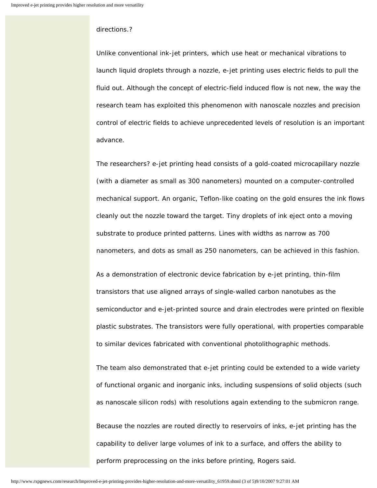## directions.?

Unlike conventional ink-jet printers, which use heat or mechanical vibrations to launch liquid droplets through a nozzle, e-jet printing uses electric fields to pull the fluid out. Although the concept of electric-field induced flow is not new, the way the research team has exploited this phenomenon with nanoscale nozzles and precision control of electric fields to achieve unprecedented levels of resolution is an important advance.

The researchers? e-jet printing head consists of a gold-coated microcapillary nozzle (with a diameter as small as 300 nanometers) mounted on a computer-controlled mechanical support. An organic, Teflon-like coating on the gold ensures the ink flows cleanly out the nozzle toward the target. Tiny droplets of ink eject onto a moving substrate to produce printed patterns. Lines with widths as narrow as 700 nanometers, and dots as small as 250 nanometers, can be achieved in this fashion.

As a demonstration of electronic device fabrication by e-jet printing, thin-film transistors that use aligned arrays of single-walled carbon nanotubes as the semiconductor and e-jet-printed source and drain electrodes were printed on flexible plastic substrates. The transistors were fully operational, with properties comparable to similar devices fabricated with conventional photolithographic methods.

The team also demonstrated that e-jet printing could be extended to a wide variety of functional organic and inorganic inks, including suspensions of solid objects (such as nanoscale silicon rods) with resolutions again extending to the submicron range.

Because the nozzles are routed directly to reservoirs of inks, e-jet printing has the capability to deliver large volumes of ink to a surface, and offers the ability to perform preprocessing on the inks before printing, Rogers said.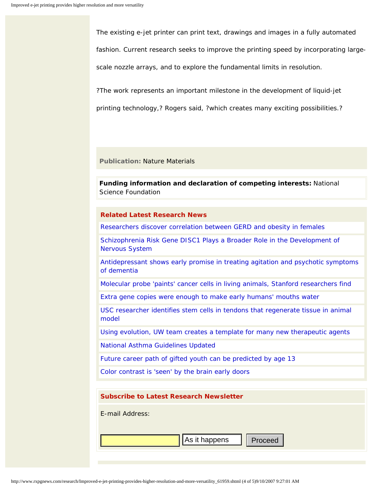The existing e-jet printer can print text, drawings and images in a fully automated fashion. Current research seeks to improve the printing speed by incorporating largescale nozzle arrays, and to explore the fundamental limits in resolution.

?The work represents an important milestone in the development of liquid-jet

printing technology,? Rogers said, ?which creates many exciting possibilities.?

**Publication:** Nature Materials

**Funding information and declaration of competing interests:** National Science Foundation

## <span id="page-3-1"></span>**Related Latest Research News**

[Researchers discover correlation between GERD and obesity in females](http://www.rxpgnews.com/research/Researchers-discover-correlation-between-GERD-and-obesity-in-females_62141.shtml)

[Schizophrenia Risk Gene DISC1 Plays a Broader Role in the Development of](http://www.rxpgnews.com/schizophrenia/Schizophrenia_Risk_Gene_DISC1_Plays_a_Broader_Role_in_the_Development_of_Nervous_System_62507.shtml)  [Nervous System](http://www.rxpgnews.com/schizophrenia/Schizophrenia_Risk_Gene_DISC1_Plays_a_Broader_Role_in_the_Development_of_Nervous_System_62507.shtml)

[Antidepressant shows early promise in treating agitation and psychotic symptoms](http://www.rxpgnews.com/research/Antidepressant-shows-early-promise-in-treating-agitation-and-psychotic-symptoms-of-dementia_62456.shtml) [of dementia](http://www.rxpgnews.com/research/Antidepressant-shows-early-promise-in-treating-agitation-and-psychotic-symptoms-of-dementia_62456.shtml)

[Molecular probe 'paints' cancer cells in living animals, Stanford researchers find](http://www.rxpgnews.com/research/Molecular-probe-paints-cancer-cells-in-living-animals-Stanford-researchers-find_62420.shtml)

[Extra gene copies were enough to make early humans' mouths water](http://www.rxpgnews.com/research/Extra-gene-copies-were-enough-to-make-early-humans-mouths-water_62421.shtml)

[USC researcher identifies stem cells in tendons that regenerate tissue in animal](http://www.rxpgnews.com/sportsmedicine/USC-researcher-identifies-stem-cells-in-tendons-that-regenerate-tissue-in-animal-model_62422.shtml)  [model](http://www.rxpgnews.com/sportsmedicine/USC-researcher-identifies-stem-cells-in-tendons-that-regenerate-tissue-in-animal-model_62422.shtml)

[Using evolution, UW team creates a template for many new therapeutic agents](http://www.rxpgnews.com/research/Using-evolution-UW-team-creates-a-template-for-many-new-therapeutic-agents_62423.shtml)

[National Asthma Guidelines Updated](http://www.rxpgnews.com/research/National_Asthma_Guidelines_Updated_62175.shtml)

[Future career path of gifted youth can be predicted by age 13](http://www.rxpgnews.com/research/Future-career-path-of-gifted-youth-can-be-predicted-by-age-13_61981.shtml)

[Color contrast is 'seen' by the brain early doors](http://www.rxpgnews.com/research/Color-contrast-is-seen-by-the-brain-early-doors_62127.shtml)

<span id="page-3-0"></span>

| <b>Subscribe to Latest Research Newsletter</b> |
|------------------------------------------------|
| E-mail Address:                                |
|                                                |
| As it happens<br>Proceed                       |